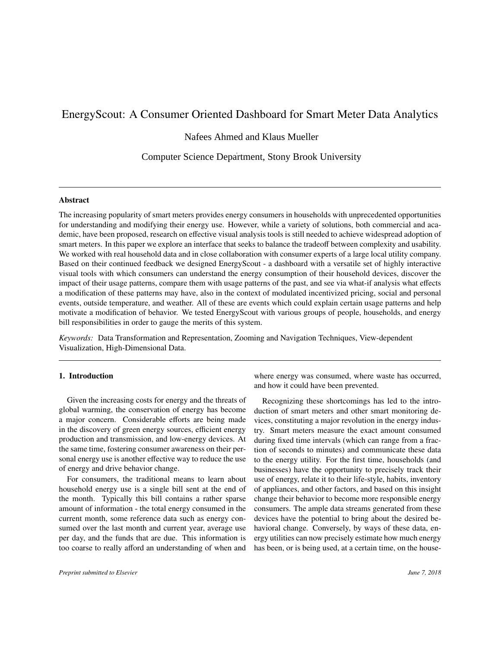# EnergyScout: A Consumer Oriented Dashboard for Smart Meter Data Analytics

Nafees Ahmed and Klaus Mueller

Computer Science Department, Stony Brook University

## **Abstract**

The increasing popularity of smart meters provides energy consumers in households with unprecedented opportunities for understanding and modifying their energy use. However, while a variety of solutions, both commercial and academic, have been proposed, research on effective visual analysis tools is still needed to achieve widespread adoption of smart meters. In this paper we explore an interface that seeks to balance the tradeoff between complexity and usability. We worked with real household data and in close collaboration with consumer experts of a large local utility company. Based on their continued feedback we designed EnergyScout - a dashboard with a versatile set of highly interactive visual tools with which consumers can understand the energy consumption of their household devices, discover the impact of their usage patterns, compare them with usage patterns of the past, and see via what-if analysis what effects a modification of these patterns may have, also in the context of modulated incentivized pricing, social and personal events, outside temperature, and weather. All of these are events which could explain certain usage patterns and help motivate a modification of behavior. We tested EnergyScout with various groups of people, households, and energy bill responsibilities in order to gauge the merits of this system.

Keywords: Data Transformation and Representation, Zooming and Navigation Techniques, View-dependent Visualization, High-Dimensional Data.

## 1. Introduction

Given the increasing costs for energy and the threats of global warming, the conservation of energy has become a major concern. Considerable efforts are being made in the discovery of green energy sources, efficient energy production and transmission, and low-energy devices. At the same time, fostering consumer awareness on their personal energy use is another effective way to reduce the use of energy and drive behavior change.

For consumers, the traditional means to learn about household energy use is a single bill sent at the end of the month. Typically this bill contains a rather sparse amount of information - the total energy consumed in the current month, some reference data such as energy consumed over the last month and current year, average use per day, and the funds that are due. This information is too coarse to really afford an understanding of when and where energy was consumed, where waste has occurred, and how it could have been prevented.

Recognizing these shortcomings has led to the introduction of smart meters and other smart monitoring devices, constituting a major revolution in the energy industry. Smart meters measure the exact amount consumed during fixed time intervals (which can range from a fraction of seconds to minutes) and communicate these data to the energy utility. For the first time, households (and businesses) have the opportunity to precisely track their use of energy, relate it to their life-style, habits, inventory of appliances, and other factors, and based on this insight change their behavior to become more responsible energy consumers. The ample data streams generated from these devices have the potential to bring about the desired behavioral change. Conversely, by ways of these data, energy utilities can now precisely estimate how much energy has been, or is being used, at a certain time, on the house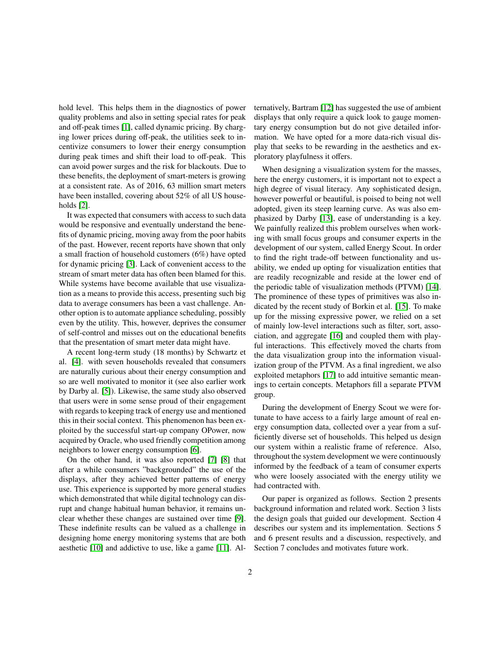hold level. This helps them in the diagnostics of power quality problems and also in setting special rates for peak and off-peak times [1], called dynamic pricing. By charging lower prices during off-peak, the utilities seek to incentivize consumers to lower their energy consumption during peak times and shift their load to off-peak. This can avoid power surges and the risk for blackouts. Due to these benefits, the deployment of smart-meters is growing at a consistent rate. As of 2016, 63 million smart meters have been installed, covering about 52% of all US households  $[2]$ .

It was expected that consumers with access to such data would be responsive and eventually understand the benefits of dynamic pricing, moving away from the poor habits of the past. However, recent reports have shown that only a small fraction of household customers  $(6\%)$  have opted for dynamic pricing [3]. Lack of convenient access to the stream of smart meter data has often been blamed for this. While systems have become available that use visualization as a means to provide this access, presenting such big data to average consumers has been a vast challenge. Another option is to automate appliance scheduling, possibly even by the utility. This, however, deprives the consumer of self-control and misses out on the educational benefits that the presentation of smart meter data might have.

A recent long-term study (18 months) by Schwartz et al. [4], with seven households revealed that consumers are naturally curious about their energy consumption and so are well motivated to monitor it (see also earlier work by Darby al. [5]). Likewise, the same study also observed that users were in some sense proud of their engagement with regards to keeping track of energy use and mentioned this in their social context. This phenomenon has been exploited by the successful start-up company OPower, now acquired by Oracle, who used friendly competition among neighbors to lower energy consumption [6].

On the other hand, it was also reported [7] [8] that after a while consumers "backgrounded" the use of the displays, after they achieved better patterns of energy use. This experience is supported by more general studies which demonstrated that while digital technology can disrupt and change habitual human behavior, it remains unclear whether these changes are sustained over time [9]. These indefinite results can be valued as a challenge in designing home energy monitoring systems that are both aesthetic [10] and addictive to use, like a game [11]. Alternatively, Bartram [12] has suggested the use of ambient displays that only require a quick look to gauge momentary energy consumption but do not give detailed information. We have opted for a more data-rich visual display that seeks to be rewarding in the aesthetics and exploratory playfulness it offers.

When designing a visualization system for the masses, here the energy customers, it is important not to expect a high degree of visual literacy. Any sophisticated design, however powerful or beautiful, is poised to being not well adopted, given its steep learning curve. As was also emphasized by Darby [13], ease of understanding is a key. We painfully realized this problem ourselves when working with small focus groups and consumer experts in the development of our system, called Energy Scout. In order to find the right trade-off between functionality and usability, we ended up opting for visualization entities that are readily recognizable and reside at the lower end of the periodic table of visualization methods (PTVM) [14]. The prominence of these types of primitives was also indicated by the recent study of Borkin et al. [15]. To make up for the missing expressive power, we relied on a set of mainly low-level interactions such as filter, sort, association, and aggregate [16] and coupled them with playful interactions. This effectively moved the charts from the data visualization group into the information visualization group of the PTVM. As a final ingredient, we also exploited metaphors [17] to add intuitive semantic meanings to certain concepts. Metaphors fill a separate PTVM group.

During the development of Energy Scout we were fortunate to have access to a fairly large amount of real energy consumption data, collected over a year from a sufficiently diverse set of households. This helped us design our system within a realistic frame of reference. Also, throughout the system development we were continuously informed by the feedback of a team of consumer experts who were loosely associated with the energy utility we had contracted with.

Our paper is organized as follows. Section 2 presents background information and related work. Section 3 lists the design goals that guided our development. Section 4 describes our system and its implementation. Sections 5 and 6 present results and a discussion, respectively, and Section 7 concludes and motivates future work.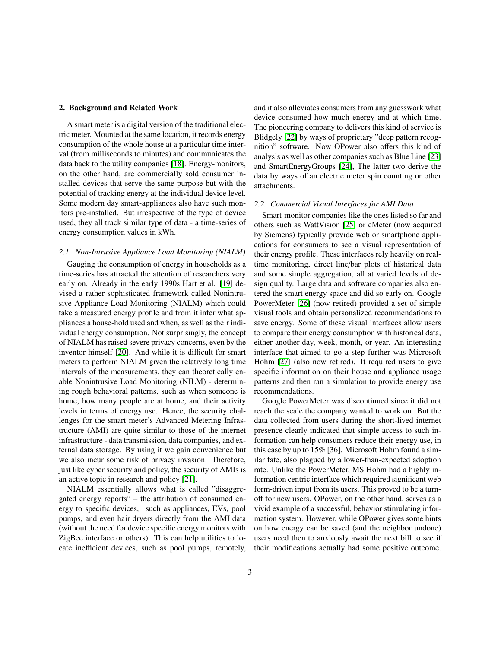## 2. Background and Related Work

A smart meter is a digital version of the traditional electric meter. Mounted at the same location, it records energy consumption of the whole house at a particular time interval (from milliseconds to minutes) and communicates the data back to the utility companies [18]. Energy-monitors, on the other hand, are commercially sold consumer installed devices that serve the same purpose but with the potential of tracking energy at the individual device level. Some modern day smart-appliances also have such monitors pre-installed. But irrespective of the type of device used, they all track similar type of data - a time-series of energy consumption values in kWh.

## 2.1. Non-Intrusive Appliance Load Monitoring (NIALM)

Gauging the consumption of energy in households as a time-series has attracted the attention of researchers very early on. Already in the early 1990s Hart et al. [19] devised a rather sophisticated framework called Nonintrusive Appliance Load Monitoring (NIALM) which could take a measured energy profile and from it infer what appliances a house-hold used and when, as well as their individual energy consumption. Not surprisingly, the concept of NIALM has raised severe privacy concerns, even by the inventor himself [20]. And while it is difficult for smart meters to perform NIALM given the relatively long time intervals of the measurements, they can theoretically enable Nonintrusive Load Monitoring (NILM) - determining rough behavioral patterns, such as when someone is home, how many people are at home, and their activity levels in terms of energy use. Hence, the security challenges for the smart meter's Advanced Metering Infrastructure (AMI) are quite similar to those of the internet infrastructure - data transmission, data companies, and external data storage. By using it we gain convenience but we also incur some risk of privacy invasion. Therefore, just like cyber security and policy, the security of AMIs is an active topic in research and policy [21].

NIALM essentially allows what is called "disaggregated energy reports" – the attribution of consumed energy to specific devices, such as appliances, EVs, pool pumps, and even hair dryers directly from the AMI data (without the need for device specific energy monitors with ZigBee interface or others). This can help utilities to locate inefficient devices, such as pool pumps, remotely, and it also alleviates consumers from any guesswork what device consumed how much energy and at which time. The pioneering company to delivers this kind of service is Blidgely [22] by ways of proprietary "deep pattern recognition" software. Now OPower also offers this kind of analysis as well as other companies such as Blue Line [23] and SmartEnergyGroups [24], The latter two derive the data by ways of an electric meter spin counting or other attachments.

### 2.2. Commercial Visual Interfaces for AMI Data

Smart-monitor companies like the ones listed so far and others such as WattVision [25] or eMeter (now acquired by Siemens) typically provide web or smartphone applications for consumers to see a visual representation of their energy profile. These interfaces rely heavily on realtime monitoring, direct line/bar plots of historical data and some simple aggregation, all at varied levels of design quality. Large data and software companies also entered the smart energy space and did so early on. Google PowerMeter [26] (now retired) provided a set of simple visual tools and obtain personalized recommendations to save energy. Some of these visual interfaces allow users to compare their energy consumption with historical data, either another day, week, month, or year. An interesting interface that aimed to go a step further was Microsoft Hohm [27] (also now retired). It required users to give specific information on their house and appliance usage patterns and then ran a simulation to provide energy use recommendations.

Google PowerMeter was discontinued since it did not reach the scale the company wanted to work on. But the data collected from users during the short-lived internet presence clearly indicated that simple access to such information can help consumers reduce their energy use, in this case by up to 15% [36]. Microsoft Hohm found a similar fate, also plagued by a lower-than-expected adoption rate. Unlike the PowerMeter, MS Hohm had a highly information centric interface which required significant web form-driven input from its users. This proved to be a turnoff for new users. OPower, on the other hand, serves as a vivid example of a successful, behavior stimulating information system. However, while OPower gives some hints on how energy can be saved (and the neighbor undone) users need then to anxiously await the next bill to see if their modifications actually had some positive outcome.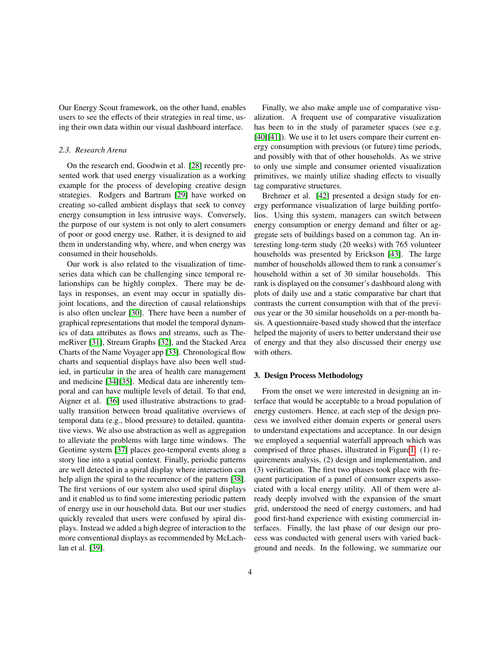Our Energy Scout framework, on the other hand, enables users to see the effects of their strategies in real time, using their own data within our visual dashboard interface.

## 2.3. Research Arena

On the research end, Goodwin et al. [28] recently presented work that used energy visualization as a working example for the process of developing creative design strategies. Rodgers and Bartram [29] have worked on creating so-called ambient displays that seek to convey energy consumption in less intrusive ways. Conversely, the purpose of our system is not only to alert consumers of poor or good energy use. Rather, it is designed to aid them in understanding why, where, and when energy was consumed in their households.

Our work is also related to the visualization of timeseries data which can be challenging since temporal relationships can be highly complex. There may be delays in responses, an event may occur in spatially disjoint locations, and the direction of causal relationships is also often unclear [30]. There have been a number of graphical representations that model the temporal dynamics of data attributes as flows and streams, such as ThemeRiver [31], Stream Graphs [32], and the Stacked Area Charts of the Name Voyager app [33]. Chronological flow charts and sequential displays have also been well studied, in particular in the area of health care management and medicine [34][35]. Medical data are inherently temporal and can have multiple levels of detail. To that end, Aigner et al. [36] used illustrative abstractions to gradually transition between broad qualitative overviews of temporal data (e.g., blood pressure) to detailed, quantitative views. We also use abstraction as well as aggregation to alleviate the problems with large time windows. The Geotime system [37] places geo-temporal events along a story line into a spatial context. Finally, periodic patterns are well detected in a spiral display where interaction can help align the spiral to the recurrence of the pattern [38]. The first versions of our system also used spiral displays and it enabled us to find some interesting periodic pattern of energy use in our household data. But our user studies quickly revealed that users were confused by spiral displays. Instead we added a high degree of interaction to the more conventional displays as recommended by McLachlan et al. [39].

Finally, we also make ample use of comparative visualization. A frequent use of comparative visualization has been to in the study of parameter spaces (see e.g.  $[40][41]$ ). We use it to let users compare their current energy consumption with previous (or future) time periods, and possibly with that of other households. As we strive to only use simple and consumer oriented visualization primitives, we mainly utilize shading effects to visually tag comparative structures.

Brehmer et al. [42] presented a design study for energy performance visualization of large building portfolios. Using this system, managers can switch between energy consumption or energy demand and filter or aggregate sets of buildings based on a common tag. An interesting long-term study (20 weeks) with 765 volunteer households was presented by Erickson [43]. The large number of households allowed them to rank a consumer's household within a set of 30 similar households. This rank is displayed on the consumer's dashboard along with plots of daily use and a static comparative bar chart that contrasts the current consumption with that of the previous year or the 30 similar households on a per-month basis. A questionnaire-based study showed that the interface helped the majority of users to better understand their use of energy and that they also discussed their energy use with others.

## 3. Design Process Methodology

From the onset we were interested in designing an interface that would be acceptable to a broad population of energy customers. Hence, at each step of the design process we involved either domain experts or general users to understand expectations and acceptance. In our design we employed a sequential waterfall approach which was comprised of three phases, illustrated in Figure1: (1) requirements analysis, (2) design and implementation, and (3) verification. The first two phases took place with frequent participation of a panel of consumer experts associated with a local energy utility. All of them were already deeply involved with the expansion of the smart grid, understood the need of energy customers, and had good first-hand experience with existing commercial interfaces. Finally, the last phase of our design our process was conducted with general users with varied background and needs. In the following, we summarize our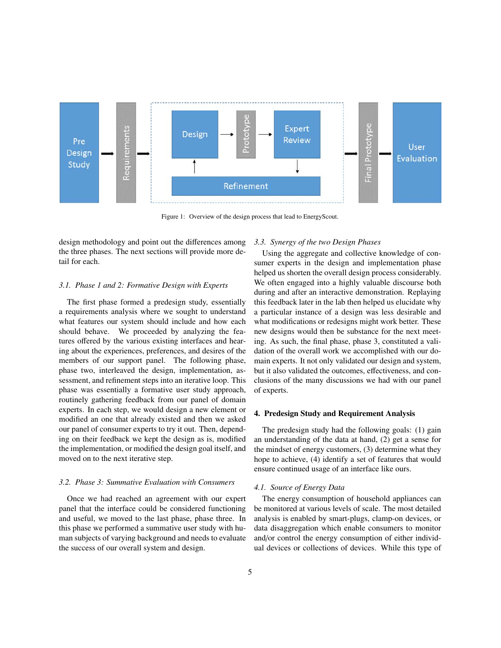

Figure 1: Overview of the design process that lead to EnergyScout.

design methodology and point out the differences among the three phases. The next sections will provide more detail for each.

### 3.1. Phase 1 and 2: Formative Design with Experts

The first phase formed a predesign study, essentially a requirements analysis where we sought to understand what features our system should include and how each should behave. We proceeded by analyzing the features offered by the various existing interfaces and hearing about the experiences, preferences, and desires of the members of our support panel. The following phase, phase two, interleaved the design, implementation, assessment, and refinement steps into an iterative loop. This phase was essentially a formative user study approach, routinely gathering feedback from our panel of domain experts. In each step, we would design a new element or modified an one that already existed and then we asked our panel of consumer experts to try it out. Then, depending on their feedback we kept the design as is, modified the implementation, or modified the design goal itself, and moved on to the next iterative step.

## 3.2. Phase 3: Summative Evaluation with Consumers

Once we had reached an agreement with our expert panel that the interface could be considered functioning and useful, we moved to the last phase, phase three. In this phase we performed a summative user study with human subjects of varying background and needs to evaluate the success of our overall system and design.

## 3.3. Synergy of the two Design Phases

Using the aggregate and collective knowledge of consumer experts in the design and implementation phase helped us shorten the overall design process considerably. We often engaged into a highly valuable discourse both during and after an interactive demonstration. Replaying this feedback later in the lab then helped us elucidate why a particular instance of a design was less desirable and what modifications or redesigns might work better. These new designs would then be substance for the next meeting. As such, the final phase, phase 3, constituted a validation of the overall work we accomplished with our domain experts. It not only validated our design and system, but it also validated the outcomes, effectiveness, and conclusions of the many discussions we had with our panel of experts.

## 4. Predesign Study and Requirement Analysis

The predesign study had the following goals: (1) gain an understanding of the data at hand, (2) get a sense for the mindset of energy customers, (3) determine what they hope to achieve, (4) identify a set of features that would ensure continued usage of an interface like ours.

#### 4.1. Source of Energy Data

The energy consumption of household appliances can be monitored at various levels of scale. The most detailed analysis is enabled by smart-plugs, clamp-on devices, or data disaggregation which enable consumers to monitor and/or control the energy consumption of either individual devices or collections of devices. While this type of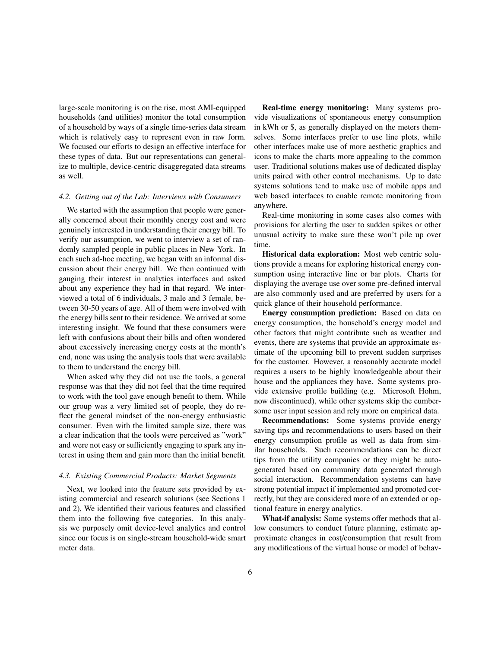large-scale monitoring is on the rise, most AMI-equipped households (and utilities) monitor the total consumption of a household by ways of a single time-series data stream which is relatively easy to represent even in raw form. We focused our efforts to design an effective interface for these types of data. But our representations can generalize to multiple, device-centric disaggregated data streams as well.

### 4.2. Getting out of the Lab: Interviews with Consumers

We started with the assumption that people were generally concerned about their monthly energy cost and were genuinely interested in understanding their energy bill. To verify our assumption, we went to interview a set of randomly sampled people in public places in New York. In each such ad-hoc meeting, we began with an informal discussion about their energy bill. We then continued with gauging their interest in analytics interfaces and asked about any experience they had in that regard. We interviewed a total of 6 individuals, 3 male and 3 female, between 30-50 years of age. All of them were involved with the energy bills sent to their residence. We arrived at some interesting insight. We found that these consumers were left with confusions about their bills and often wondered about excessively increasing energy costs at the month's end, none was using the analysis tools that were available to them to understand the energy bill.

When asked why they did not use the tools, a general response was that they did not feel that the time required to work with the tool gave enough benefit to them. While our group was a very limited set of people, they do reflect the general mindset of the non-energy enthusiastic consumer. Even with the limited sample size, there was a clear indication that the tools were perceived as "work" and were not easy or sufficiently engaging to spark any interest in using them and gain more than the initial benefit.

### 4.3. Existing Commercial Products: Market Segments

Next, we looked into the feature sets provided by existing commercial and research solutions (see Sections 1 and 2), We identified their various features and classified them into the following five categories. In this analysis we purposely omit device-level analytics and control since our focus is on single-stream household-wide smart meter data.

Real-time energy monitoring: Many systems provide visualizations of spontaneous energy consumption in kWh or \$, as generally displayed on the meters themselves. Some interfaces prefer to use line plots, while other interfaces make use of more aesthetic graphics and icons to make the charts more appealing to the common user. Traditional solutions makes use of dedicated display units paired with other control mechanisms. Up to date systems solutions tend to make use of mobile apps and web based interfaces to enable remote monitoring from anywhere.

Real-time monitoring in some cases also comes with provisions for alerting the user to sudden spikes or other unusual activity to make sure these won't pile up over time.

**Historical data exploration:** Most web centric solutions provide a means for exploring historical energy consumption using interactive line or bar plots. Charts for displaying the average use over some pre-defined interval are also commonly used and are preferred by users for a quick glance of their household performance.

Energy consumption prediction: Based on data on energy consumption, the household's energy model and other factors that might contribute such as weather and events, there are systems that provide an approximate estimate of the upcoming bill to prevent sudden surprises for the customer. However, a reasonably accurate model requires a users to be highly knowledgeable about their house and the appliances they have. Some systems provide extensive profile building (e.g. Microsoft Hohm, now discontinued), while other systems skip the cumbersome user input session and rely more on empirical data.

**Recommendations:** Some systems provide energy saving tips and recommendations to users based on their energy consumption profile as well as data from similar households. Such recommendations can be direct tips from the utility companies or they might be autogenerated based on community data generated through social interaction. Recommendation systems can have strong potential impact if implemented and promoted correctly, but they are considered more of an extended or optional feature in energy analytics.

What-if analysis: Some systems offer methods that allow consumers to conduct future planning, estimate approximate changes in cost/consumption that result from any modifications of the virtual house or model of behav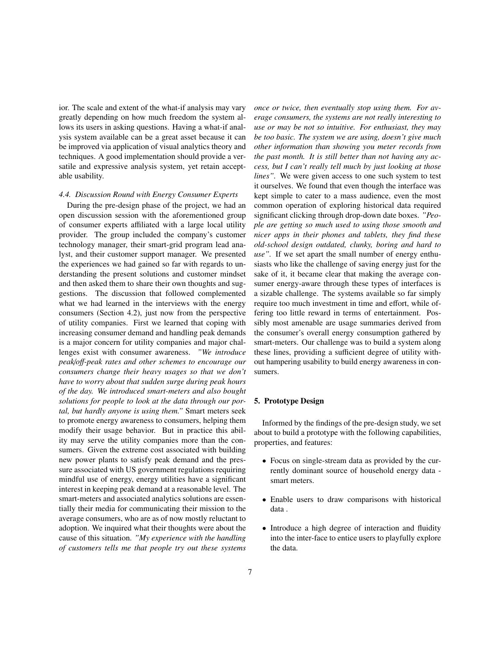ior. The scale and extent of the what-if analysis may vary greatly depending on how much freedom the system allows its users in asking questions. Having a what-if analysis system available can be a great asset because it can be improved via application of visual analytics theory and techniques. A good implementation should provide a versatile and expressive analysis system, yet retain acceptable usability.

## 4.4. Discussion Round with Energy Consumer Experts

During the pre-design phase of the project, we had an open discussion session with the aforementioned group of consumer experts affiliated with a large local utility provider. The group included the company's customer technology manager, their smart-grid program lead analyst, and their customer support manager. We presented the experiences we had gained so far with regards to understanding the present solutions and customer mindset and then asked them to share their own thoughts and suggestions. The discussion that followed complemented what we had learned in the interviews with the energy consumers (Section 4.2), just now from the perspective of utility companies. First we learned that coping with increasing consumer demand and handling peak demands is a major concern for utility companies and major challenges exist with consumer awareness. "We introduce peak/off-peak rates and other schemes to encourage our consumers change their heavy usages so that we don't have to worry about that sudden surge during peak hours of the day. We introduced smart-meters and also bought solutions for people to look at the data through our portal, but hardly anyone is using them." Smart meters seek to promote energy awareness to consumers, helping them modify their usage behavior. But in practice this ability may serve the utility companies more than the consumers. Given the extreme cost associated with building new power plants to satisfy peak demand and the pressure associated with US government regulations requiring mindful use of energy, energy utilities have a significant interest in keeping peak demand at a reasonable level. The smart-meters and associated analytics solutions are essentially their media for communicating their mission to the average consumers, who are as of now mostly reluctant to adoption. We inquired what their thoughts were about the cause of this situation. "My experience with the handling of customers tells me that people try out these systems once or twice, then eventually stop using them. For average consumers, the systems are not really interesting to use or may be not so intuitive. For enthusiast, they may be too basic. The system we are using, doesn't give much other information than showing you meter records from the past month. It is still better than not having any access, but I can't really tell much by just looking at those lines". We were given access to one such system to test it ourselves. We found that even though the interface was kept simple to cater to a mass audience, even the most common operation of exploring historical data required significant clicking through drop-down date boxes. "People are getting so much used to using those smooth and nicer apps in their phones and tablets, they find these old-school design outdated, clunky, boring and hard to *use*". If we set apart the small number of energy enthusiasts who like the challenge of saving energy just for the sake of it, it became clear that making the average consumer energy-aware through these types of interfaces is a sizable challenge. The systems available so far simply require too much investment in time and effort, while offering too little reward in terms of entertainment. Possibly most amenable are usage summaries derived from the consumer's overall energy consumption gathered by smart-meters. Our challenge was to build a system along these lines, providing a sufficient degree of utility without hampering usability to build energy awareness in consumers.

## 5. Prototype Design

Informed by the findings of the pre-design study, we set about to build a prototype with the following capabilities, properties, and features:

- Focus on single-stream data as provided by the currently dominant source of household energy data smart meters.
- Enable users to draw comparisons with historical data.
- Introduce a high degree of interaction and fluidity into the inter-face to entice users to playfully explore the data.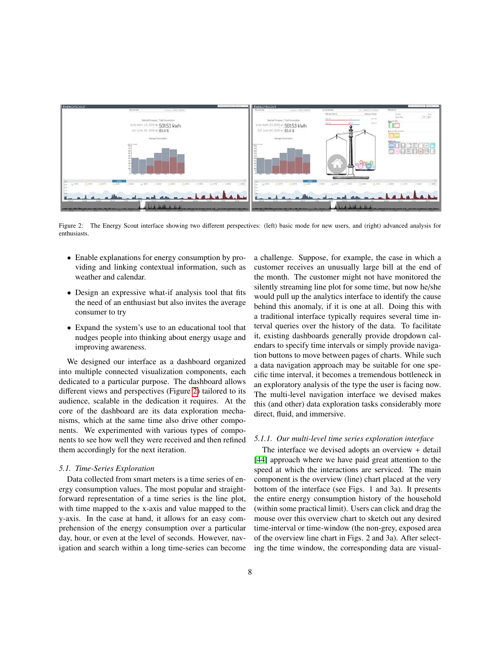

The Energy Scout interface showing two different perspectives: (left) basic mode for new users, and (right) advanced analysis for Figure 2: enthusiasts.

- Enable explanations for energy consumption by providing and linking contextual information, such as weather and calendar.
- Design an expressive what-if analysis tool that fits the need of an enthusiast but also invites the average consumer to try
- Expand the system's use to an educational tool that nudges people into thinking about energy usage and improving awareness.

We designed our interface as a dashboard organized into multiple connected visualization components, each dedicated to a particular purpose. The dashboard allows different views and perspectives (Figure 2) tailored to its audience, scalable in the dedication it requires. At the core of the dashboard are its data exploration mechanisms, which at the same time also drive other components. We experimented with various types of components to see how well they were received and then refined them accordingly for the next iteration.

#### 5.1. Time-Series Exploration

Data collected from smart meters is a time series of energy consumption values. The most popular and straightforward representation of a time series is the line plot, with time mapped to the x-axis and value mapped to the y-axis. In the case at hand, it allows for an easy comprehension of the energy consumption over a particular day, hour, or even at the level of seconds. However, navigation and search within a long time-series can become a challenge. Suppose, for example, the case in which a customer receives an unusually large bill at the end of the month. The customer might not have monitored the silently streaming line plot for some time, but now he/she would pull up the analytics interface to identify the cause behind this anomaly, if it is one at all. Doing this with a traditional interface typically requires several time interval queries over the history of the data. To facilitate it, existing dashboards generally provide dropdown calendars to specify time intervals or simply provide navigation buttons to move between pages of charts. While such a data navigation approach may be suitable for one specific time interval, it becomes a tremendous bottleneck in an exploratory analysis of the type the user is facing now. The multi-level navigation interface we devised makes this (and other) data exploration tasks considerably more direct, fluid, and immersive.

## 5.1.1. Our multi-level time series exploration interface

The interface we devised adopts an overview  $+$  detail [44] approach where we have paid great attention to the speed at which the interactions are serviced. The main component is the overview (line) chart placed at the very bottom of the interface (see Figs. 1 and 3a). It presents the entire energy consumption history of the household (within some practical limit). Users can click and drag the mouse over this overview chart to sketch out any desired time-interval or time-window (the non-grey, exposed area of the overview line chart in Figs. 2 and 3a). After selecting the time window, the corresponding data are visual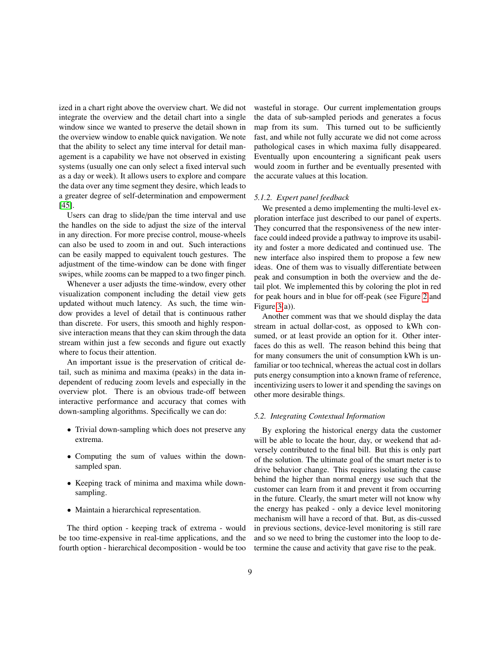ized in a chart right above the overview chart. We did not integrate the overview and the detail chart into a single window since we wanted to preserve the detail shown in the overview window to enable quick navigation. We note that the ability to select any time interval for detail management is a capability we have not observed in existing systems (usually one can only select a fixed interval such as a day or week). It allows users to explore and compare the data over any time segment they desire, which leads to a greater degree of self-determination and empowerment  $[45]$ .

Users can drag to slide/pan the time interval and use the handles on the side to adjust the size of the interval in any direction. For more precise control, mouse-wheels can also be used to zoom in and out. Such interactions can be easily mapped to equivalent touch gestures. The adjustment of the time-window can be done with finger swipes, while zooms can be mapped to a two finger pinch.

Whenever a user adjusts the time-window, every other visualization component including the detail view gets updated without much latency. As such, the time window provides a level of detail that is continuous rather than discrete. For users, this smooth and highly responsive interaction means that they can skim through the data stream within just a few seconds and figure out exactly where to focus their attention.

An important issue is the preservation of critical detail, such as minima and maxima (peaks) in the data independent of reducing zoom levels and especially in the overview plot. There is an obvious trade-off between interactive performance and accuracy that comes with down-sampling algorithms. Specifically we can do:

- Trivial down-sampling which does not preserve any extrema.
- Computing the sum of values within the downsampled span.
- Keeping track of minima and maxima while downsampling.
- Maintain a hierarchical representation.

The third option - keeping track of extrema - would be too time-expensive in real-time applications, and the fourth option - hierarchical decomposition - would be too wasteful in storage. Our current implementation groups the data of sub-sampled periods and generates a focus map from its sum. This turned out to be sufficiently fast, and while not fully accurate we did not come across pathological cases in which maxima fully disappeared. Eventually upon encountering a significant peak users would zoom in further and be eventually presented with the accurate values at this location.

## 5.1.2. Expert panel feedback

We presented a demo implementing the multi-level exploration interface just described to our panel of experts. They concurred that the responsiveness of the new interface could indeed provide a pathway to improve its usability and foster a more dedicated and continued use. The new interface also inspired them to propose a few new ideas. One of them was to visually differentiate between peak and consumption in both the overview and the detail plot. We implemented this by coloring the plot in red for peak hours and in blue for off-peak (see Figure 2 and Figure  $3(a)$ ).

Another comment was that we should display the data stream in actual dollar-cost, as opposed to kWh consumed, or at least provide an option for it. Other interfaces do this as well. The reason behind this being that for many consumers the unit of consumption kWh is unfamiliar or too technical, whereas the actual cost in dollars puts energy consumption into a known frame of reference, incentivizing users to lower it and spending the savings on other more desirable things.

#### 5.2. Integrating Contextual Information

By exploring the historical energy data the customer will be able to locate the hour, day, or weekend that adversely contributed to the final bill. But this is only part of the solution. The ultimate goal of the smart meter is to drive behavior change. This requires isolating the cause behind the higher than normal energy use such that the customer can learn from it and prevent it from occurring in the future. Clearly, the smart meter will not know why the energy has peaked - only a device level monitoring mechanism will have a record of that. But, as dis-cussed in previous sections, device-level monitoring is still rare and so we need to bring the customer into the loop to determine the cause and activity that gave rise to the peak.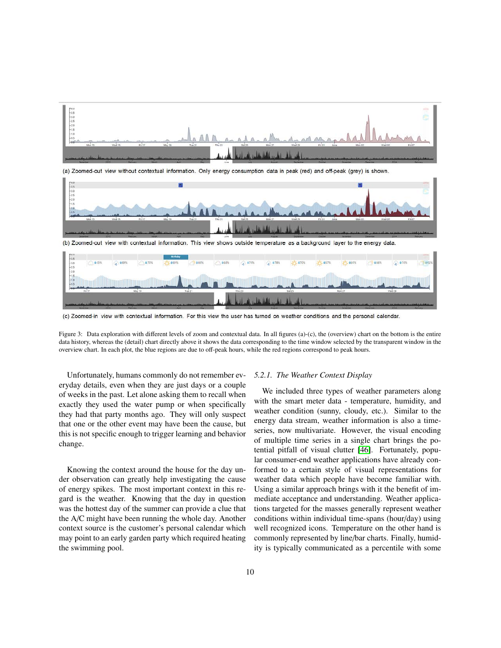

(c) Zoomed-in view with contextual information. For this view the user has turned on weather conditions and the personal calendar.

Figure 3: Data exploration with different levels of zoom and contextual data. In all figures (a)-(c), the (overview) chart on the bottom is the entire data history, whereas the (detail) chart directly above it shows the data corresponding to the time window selected by the transparent window in the overview chart. In each plot, the blue regions are due to off-peak hours, while the red regions correspond to peak hours.

Unfortunately, humans commonly do not remember everyday details, even when they are just days or a couple of weeks in the past. Let alone asking them to recall when exactly they used the water pump or when specifically they had that party months ago. They will only suspect that one or the other event may have been the cause, but this is not specific enough to trigger learning and behavior change.

Knowing the context around the house for the day under observation can greatly help investigating the cause of energy spikes. The most important context in this regard is the weather. Knowing that the day in question was the hottest day of the summer can provide a clue that the A/C might have been running the whole day. Another context source is the customer's personal calendar which may point to an early garden party which required heating the swimming pool.

weather condition (sunny, cloudy, etc.). Similar to the energy data stream, weather information is also a timeseries, now multivariate. However, the visual encoding of multiple time series in a single chart brings the potential pitfall of visual clutter [46]. Fortunately, popular consumer-end weather applications have already conformed to a certain style of visual representations for weather data which people have become familiar with. Using a similar approach brings with it the benefit of immediate acceptance and understanding. Weather applications targeted for the masses generally represent weather conditions within individual time-spans (hour/day) using well recognized icons. Temperature on the other hand is commonly represented by line/bar charts. Finally, humidity is typically communicated as a percentile with some

We included three types of weather parameters along

with the smart meter data - temperature, humidity, and

5.2.1. The Weather Context Display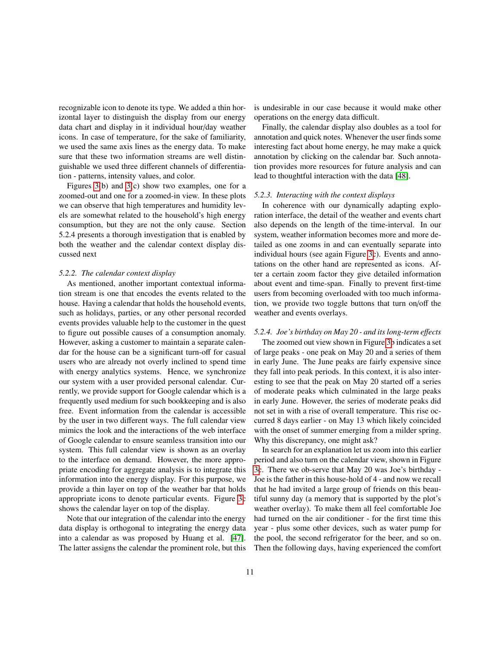recognizable icon to denote its type. We added a thin horizontal layer to distinguish the display from our energy data chart and display in it individual hour/day weather icons. In case of temperature, for the sake of familiarity, we used the same axis lines as the energy data. To make sure that these two information streams are well distinguishable we used three different channels of differentiation - patterns, intensity values, and color.

Figures  $3(b)$  and  $3(c)$  show two examples, one for a zoomed-out and one for a zoomed-in view. In these plots we can observe that high temperatures and humidity levels are somewhat related to the household's high energy consumption, but they are not the only cause. Section 5.2.4 presents a thorough investigation that is enabled by both the weather and the calendar context display discussed next

#### 5.2.2. The calendar context display

As mentioned, another important contextual information stream is one that encodes the events related to the house. Having a calendar that holds the household events, such as holidays, parties, or any other personal recorded events provides valuable help to the customer in the quest to figure out possible causes of a consumption anomaly. However, asking a customer to maintain a separate calendar for the house can be a significant turn-off for casual users who are already not overly inclined to spend time with energy analytics systems. Hence, we synchronize our system with a user provided personal calendar. Currently, we provide support for Google calendar which is a frequently used medium for such bookkeeping and is also free. Event information from the calendar is accessible by the user in two different ways. The full calendar view mimics the look and the interactions of the web interface of Google calendar to ensure seamless transition into our system. This full calendar view is shown as an overlay to the interface on demand. However, the more appropriate encoding for aggregate analysis is to integrate this information into the energy display. For this purpose, we provide a thin layer on top of the weather bar that holds appropriate icons to denote particular events. Figure 3c shows the calendar layer on top of the display.

Note that our integration of the calendar into the energy data display is orthogonal to integrating the energy data into a calendar as was proposed by Huang et al. [47]. The latter assigns the calendar the prominent role, but this is undesirable in our case because it would make other operations on the energy data difficult.

Finally, the calendar display also doubles as a tool for annotation and quick notes. Whenever the user finds some interesting fact about home energy, he may make a quick annotation by clicking on the calendar bar. Such annotation provides more resources for future analysis and can lead to thoughtful interaction with the data [48].

#### 5.2.3. Interacting with the context displays

In coherence with our dynamically adapting exploration interface, the detail of the weather and events chart also depends on the length of the time-interval. In our system, weather information becomes more and more detailed as one zooms in and can eventually separate into individual hours (see again Figure 3c). Events and annotations on the other hand are represented as icons. After a certain zoom factor they give detailed information about event and time-span. Finally to prevent first-time users from becoming overloaded with too much information, we provide two toggle buttons that turn on/off the weather and events overlays.

## 5.2.4. Joe's birthday on May 20 - and its long-term effects

The zoomed out view shown in Figure 3b indicates a set of large peaks - one peak on May 20 and a series of them in early June. The June peaks are fairly expensive since they fall into peak periods. In this context, it is also interesting to see that the peak on May 20 started off a series of moderate peaks which culminated in the large peaks in early June. However, the series of moderate peaks did not set in with a rise of overall temperature. This rise occurred 8 days earlier - on May 13 which likely coincided with the onset of summer emerging from a milder spring. Why this discrepancy, one might ask?

In search for an explanation let us zoom into this earlier period and also turn on the calendar view, shown in Figure 3c. There we ob-serve that May 20 was Joe's birthday -Joe is the father in this house-hold of 4 - and now we recall that he had invited a large group of friends on this beautiful sunny day (a memory that is supported by the plot's weather overlay). To make them all feel comfortable Joe had turned on the air conditioner - for the first time this year - plus some other devices, such as water pump for the pool, the second refrigerator for the beer, and so on. Then the following days, having experienced the comfort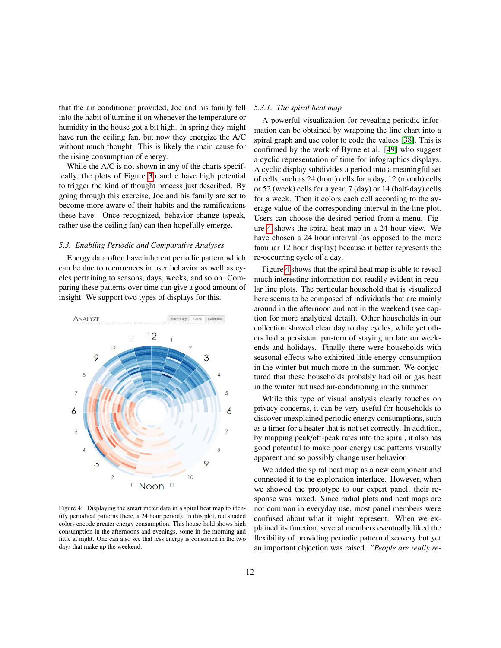that the air conditioner provided, Joe and his family fell into the habit of turning it on whenever the temperature or humidity in the house got a bit high. In spring they might have run the ceiling fan, but now they energize the A/C without much thought. This is likely the main cause for the rising consumption of energy.

While the A/C is not shown in any of the charts specifically, the plots of Figure 3b and c have high potential to trigger the kind of thought process just described. By going through this exercise, Joe and his family are set to become more aware of their habits and the ramifications these have. Once recognized, behavior change (speak, rather use the ceiling fan) can then hopefully emerge.

#### 5.3. Enabling Periodic and Comparative Analyses

Energy data often have inherent periodic pattern which can be due to recurrences in user behavior as well as cycles pertaining to seasons, days, weeks, and so on. Comparing these patterns over time can give a good amount of insight. We support two types of displays for this.



Figure 4: Displaying the smart meter data in a spiral heat map to identify periodical patterns (here, a 24 hour period). In this plot, red shaded colors encode greater energy consumption. This house-hold shows high consumption in the afternoons and evenings, some in the morning and little at night. One can also see that less energy is consumed in the two days that make up the weekend.

### 5.3.1. The spiral heat map

A powerful visualization for revealing periodic information can be obtained by wrapping the line chart into a spiral graph and use color to code the values [38]. This is confirmed by the work of Byrne et al. [49] who suggest a cyclic representation of time for infographics displays. A cyclic display subdivides a period into a meaningful set of cells, such as 24 (hour) cells for a day, 12 (month) cells or 52 (week) cells for a year, 7 (day) or 14 (half-day) cells for a week. Then it colors each cell according to the average value of the corresponding interval in the line plot. Users can choose the desired period from a menu. Figure 4 shows the spiral heat map in a 24 hour view. We have chosen a 24 hour interval (as opposed to the more familiar 12 hour display) because it better represents the re-occurring cycle of a day.

Figure 4 shows that the spiral heat map is able to reveal much interesting information not readily evident in regular line plots. The particular household that is visualized here seems to be composed of individuals that are mainly around in the afternoon and not in the weekend (see caption for more analytical detail). Other households in our collection showed clear day to day cycles, while yet others had a persistent pat-tern of staying up late on weekends and holidays. Finally there were households with seasonal effects who exhibited little energy consumption in the winter but much more in the summer. We conjectured that these households probably had oil or gas heat in the winter but used air-conditioning in the summer.

While this type of visual analysis clearly touches on privacy concerns, it can be very useful for households to discover unexplained periodic energy consumptions, such as a timer for a heater that is not set correctly. In addition, by mapping peak/off-peak rates into the spiral, it also has good potential to make poor energy use patterns visually apparent and so possibly change user behavior.

We added the spiral heat map as a new component and connected it to the exploration interface. However, when we showed the prototype to our expert panel, their response was mixed. Since radial plots and heat maps are not common in everyday use, most panel members were confused about what it might represent. When we explained its function, several members eventually liked the flexibility of providing periodic pattern discovery but yet an important objection was raised. "People are really re-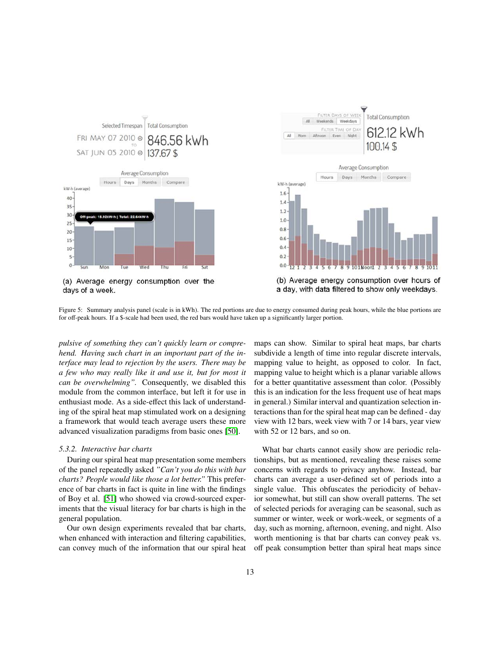

<sup>(</sup>a) Average energy consumption over the days of a week.



(b) Average energy consumption over hours of a day, with data filtered to show only weekdays.

Figure 5: Summary analysis panel (scale is in kWh). The red portions are due to energy consumed during peak hours, while the blue portions are for off-peak hours. If a \$-scale had been used, the red bars would have taken up a significantly larger portion.

pulsive of something they can't quickly learn or comprehend. Having such chart in an important part of the interface may lead to rejection by the users. There may be a few who may really like it and use it, but for most it can be overwhelming". Consequently, we disabled this module from the common interface, but left it for use in enthusiast mode. As a side-effect this lack of understanding of the spiral heat map stimulated work on a designing a framework that would teach average users these more advanced visualization paradigms from basic ones [50].

## 5.3.2. Interactive bar charts

During our spiral heat map presentation some members of the panel repeatedly asked "Can't you do this with bar charts? People would like those a lot better." This preference of bar charts in fact is quite in line with the findings of Boy et al. [51] who showed via crowd-sourced experiments that the visual literacy for bar charts is high in the general population.

Our own design experiments revealed that bar charts, when enhanced with interaction and filtering capabilities, can convey much of the information that our spiral heat maps can show. Similar to spiral heat maps, bar charts subdivide a length of time into regular discrete intervals, mapping value to height, as opposed to color. In fact, mapping value to height which is a planar variable allows for a better quantitative assessment than color. (Possibly this is an indication for the less frequent use of heat maps in general.) Similar interval and quantization selection interactions than for the spiral heat map can be defined - day view with 12 bars, week view with 7 or 14 bars, year view with 52 or 12 bars, and so on.

What bar charts cannot easily show are periodic relationships, but as mentioned, revealing these raises some concerns with regards to privacy anyhow. Instead, bar charts can average a user-defined set of periods into a single value. This obfuscates the periodicity of behavior somewhat, but still can show overall patterns. The set of selected periods for averaging can be seasonal, such as summer or winter, week or work-week, or segments of a day, such as morning, afternoon, evening, and night. Also worth mentioning is that bar charts can convey peak vs. off peak consumption better than spiral heat maps since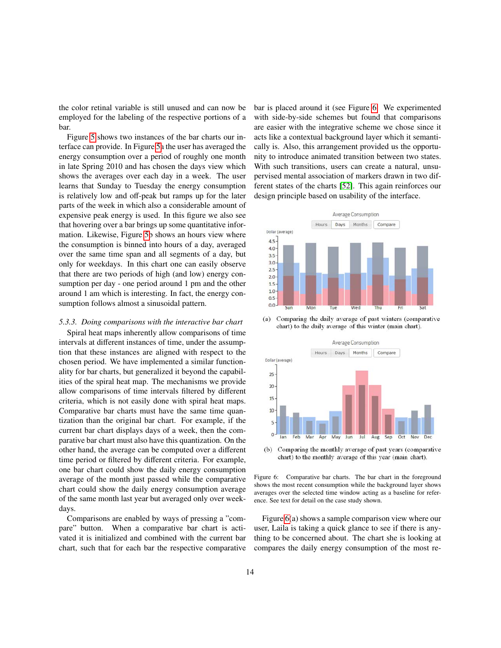the color retinal variable is still unused and can now be employed for the labeling of the respective portions of a bar.

Figure 5 shows two instances of the bar charts our interface can provide. In Figure 5a the user has averaged the energy consumption over a period of roughly one month in late Spring 2010 and has chosen the days view which shows the averages over each day in a week. The user learns that Sunday to Tuesday the energy consumption is relatively low and off-peak but ramps up for the later parts of the week in which also a considerable amount of expensive peak energy is used. In this figure we also see that hovering over a bar brings up some quantitative information. Likewise, Figure 5b shows an hours view where the consumption is binned into hours of a day, averaged over the same time span and all segments of a day, but only for weekdays. In this chart one can easily observe that there are two periods of high (and low) energy consumption per day - one period around 1 pm and the other around 1 am which is interesting. In fact, the energy consumption follows almost a sinusoidal pattern.

#### 5.3.3. Doing comparisons with the interactive bar chart

Spiral heat maps inherently allow comparisons of time intervals at different instances of time, under the assumption that these instances are aligned with respect to the chosen period. We have implemented a similar functionality for bar charts, but generalized it beyond the capabilities of the spiral heat map. The mechanisms we provide allow comparisons of time intervals filtered by different criteria, which is not easily done with spiral heat maps. Comparative bar charts must have the same time quantization than the original bar chart. For example, if the current bar chart displays days of a week, then the comparative bar chart must also have this quantization. On the other hand, the average can be computed over a different time period or filtered by different criteria. For example, one bar chart could show the daily energy consumption average of the month just passed while the comparative chart could show the daily energy consumption average of the same month last year but averaged only over weekdays.

Comparisons are enabled by ways of pressing a "compare" button. When a comparative bar chart is activated it is initialized and combined with the current bar chart, such that for each bar the respective comparative bar is placed around it (see Figure 6. We experimented with side-by-side schemes but found that comparisons are easier with the integrative scheme we chose since it acts like a contextual background layer which it semantically is. Also, this arrangement provided us the opportunity to introduce animated transition between two states. With such transitions, users can create a natural, unsupervised mental association of markers drawn in two different states of the charts [52]. This again reinforces our design principle based on usability of the interface.



 $(a)$ Comparing the daily average of past winters (comparative chart) to the daily average of this winter (main chart).



Comparing the monthly average of past years (comparative  $(b)$ chart) to the monthly average of this year (main chart).

Figure 6: Comparative bar charts. The bar chart in the foreground shows the most recent consumption while the background layer shows averages over the selected time window acting as a baseline for reference. See text for detail on the case study shown.

Figure  $6(a)$  shows a sample comparison view where our user, Laila is taking a quick glance to see if there is anything to be concerned about. The chart she is looking at compares the daily energy consumption of the most re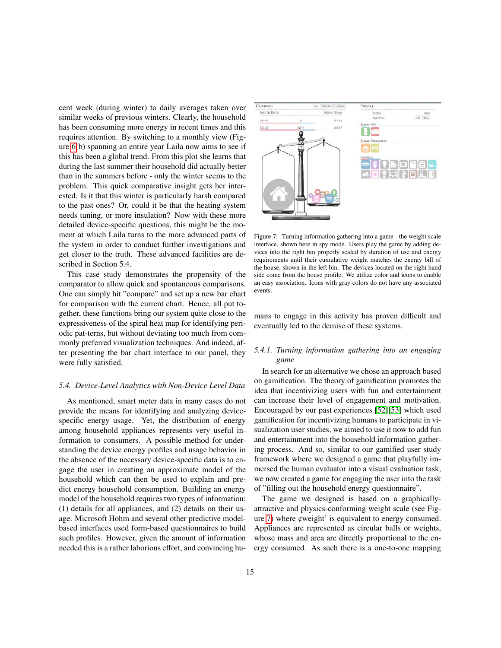cent week (during winter) to daily averages taken over similar weeks of previous winters. Clearly, the household has been consuming more energy in recent times and this requires attention. By switching to a monthly view (Figure  $6(b)$  spanning an entire year Laila now aims to see if this has been a global trend. From this plot she learns that during the last summer their household did actually better than in the summers before - only the winter seems to the problem. This quick comparative insight gets her interested. Is it that this winter is particularly harsh compared to the past ones? Or, could it be that the heating system needs tuning, or more insulation? Now with these more detailed device-specific questions, this might be the moment at which Laila turns to the more advanced parts of the system in order to conduct further investigations and get closer to the truth. These advanced facilities are described in Section 5.4.

This case study demonstrates the propensity of the comparator to allow quick and spontaneous comparisons. One can simply hit "compare" and set up a new bar chart for comparison with the current chart. Hence, all put together, these functions bring our system quite close to the expressiveness of the spiral heat map for identifying periodic pat-terns, but without deviating too much from commonly preferred visualization techniques. And indeed, after presenting the bar chart interface to our panel, they were fully satisfied.

#### 5.4. Device-Level Analytics with Non-Device Level Data

As mentioned, smart meter data in many cases do not provide the means for identifying and analyzing devicespecific energy usage. Yet, the distribution of energy among household appliances represents very useful information to consumers. A possible method for understanding the device energy profiles and usage behavior in the absence of the necessary device-specific data is to engage the user in creating an approximate model of the household which can then be used to explain and predict energy household consumption. Building an energy model of the household requires two types of information: (1) details for all appliances, and (2) details on their usage. Microsoft Hohm and several other predictive modelbased interfaces used form-based questionnaires to build such profiles. However, given the amount of information needed this is a rather laborious effort, and convincing hu-



Figure 7: Turning information gathering into a game - the weight scale interface, shown here in spy mode. Users play the game by adding devices into the right bin properly scaled by duration of use and energy requirements until their cumulative weight matches the energy bill of the house, shown in the left bin. The devices located on the right hand side come from the house profile. We utilize color and icons to enable an easy association. Icons with gray colors do not have any associated events.

mans to engage in this activity has proven difficult and eventually led to the demise of these systems.

## 5.4.1. Turning information gathering into an engaging game

In search for an alternative we chose an approach based on gamification. The theory of gamification promotes the idea that incentivizing users with fun and entertainment can increase their level of engagement and motivation. Encouraged by our past experiences [52][53] which used gamification for incentivizing humans to participate in visualization user studies, we aimed to use it now to add fun and entertainment into the household information gathering process. And so, similar to our gamified user study framework where we designed a game that playfully immersed the human evaluator into a visual evaluation task, we now created a game for engaging the user into the task of "filling out the household energy questionnaire".

The game we designed is based on a graphicallyattractive and physics-conforming weight scale (see Figure 7) where  $\psi$  weight' is equivalent to energy consumed. Appliances are represented as circular balls or weights, whose mass and area are directly proportional to the energy consumed. As such there is a one-to-one mapping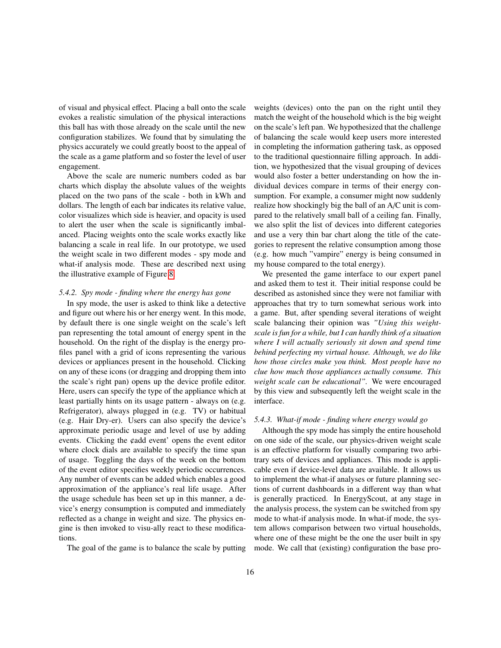of visual and physical effect. Placing a ball onto the scale evokes a realistic simulation of the physical interactions this ball has with those already on the scale until the new configuration stabilizes. We found that by simulating the physics accurately we could greatly boost to the appeal of the scale as a game platform and so foster the level of user engagement.

Above the scale are numeric numbers coded as bar charts which display the absolute values of the weights placed on the two pans of the scale - both in kWh and dollars. The length of each bar indicates its relative value, color visualizes which side is heavier, and opacity is used to alert the user when the scale is significantly imbalanced. Placing weights onto the scale works exactly like balancing a scale in real life. In our prototype, we used the weight scale in two different modes - spy mode and what-if analysis mode. These are described next using the illustrative example of Figure 8.

### 5.4.2. Spy mode - finding where the energy has gone

In spy mode, the user is asked to think like a detective and figure out where his or her energy went. In this mode, by default there is one single weight on the scale's left pan representing the total amount of energy spent in the household. On the right of the display is the energy profiles panel with a grid of icons representing the various devices or appliances present in the household. Clicking on any of these icons (or dragging and dropping them into the scale's right pan) opens up the device profile editor. Here, users can specify the type of the appliance which at least partially hints on its usage pattern - always on (e.g. Refrigerator), always plugged in (e.g. TV) or habitual (e.g. Hair Dry-er). Users can also specify the device's approximate periodic usage and level of use by adding events. Clicking the ¢add event' opens the event editor where clock dials are available to specify the time span of usage. Toggling the days of the week on the bottom of the event editor specifies weekly periodic occurrences. Any number of events can be added which enables a good approximation of the appliance's real life usage. After the usage schedule has been set up in this manner, a device's energy consumption is computed and immediately reflected as a change in weight and size. The physics engine is then invoked to visu-ally react to these modifications.

The goal of the game is to balance the scale by putting

weights (devices) onto the pan on the right until they match the weight of the household which is the big weight on the scale's left pan. We hypothesized that the challenge of balancing the scale would keep users more interested in completing the information gathering task, as opposed to the traditional questionnaire filling approach. In addition, we hypothesized that the visual grouping of devices would also foster a better understanding on how the individual devices compare in terms of their energy consumption. For example, a consumer might now suddenly realize how shockingly big the ball of an A/C unit is compared to the relatively small ball of a ceiling fan. Finally, we also split the list of devices into different categories and use a very thin bar chart along the title of the categories to represent the relative consumption among those (e.g. how much "vampire" energy is being consumed in my house compared to the total energy).

We presented the game interface to our expert panel and asked them to test it. Their initial response could be described as astonished since they were not familiar with approaches that try to turn somewhat serious work into a game. But, after spending several iterations of weight scale balancing their opinion was "Using this weightscale is fun for a while, but I can hardly think of a situation where I will actually seriously sit down and spend time behind perfecting my virtual house. Although, we do like how those circles make you think. Most people have no clue how much those appliances actually consume. This weight scale can be educational". We were encouraged by this view and subsequently left the weight scale in the interface.

## 5.4.3. What-if mode - finding where energy would go

Although the spy mode has simply the entire household on one side of the scale, our physics-driven weight scale is an effective platform for visually comparing two arbitrary sets of devices and appliances. This mode is applicable even if device-level data are available. It allows us to implement the what-if analyses or future planning sections of current dashboards in a different way than what is generally practiced. In EnergyScout, at any stage in the analysis process, the system can be switched from spy mode to what-if analysis mode. In what-if mode, the system allows comparison between two virtual households, where one of these might be the one the user built in spy mode. We call that (existing) configuration the base pro-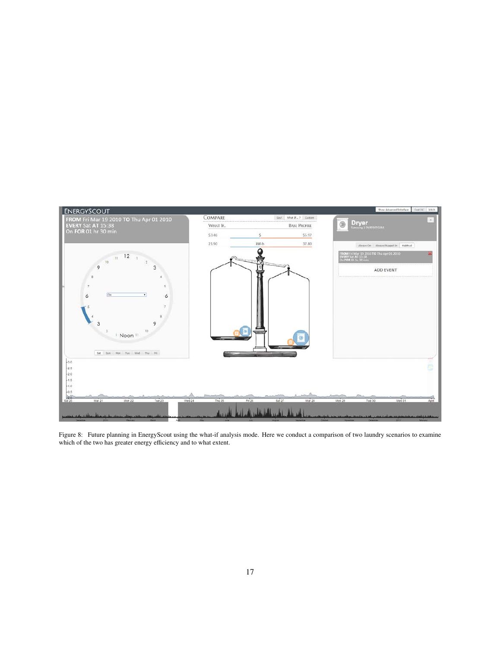

Figure 8: Future planning in EnergyScout using the what-if analysis mode. Here we conduct a comparison of two laundry scenarios to examine which of the two has greater energy efficiency and to what extent.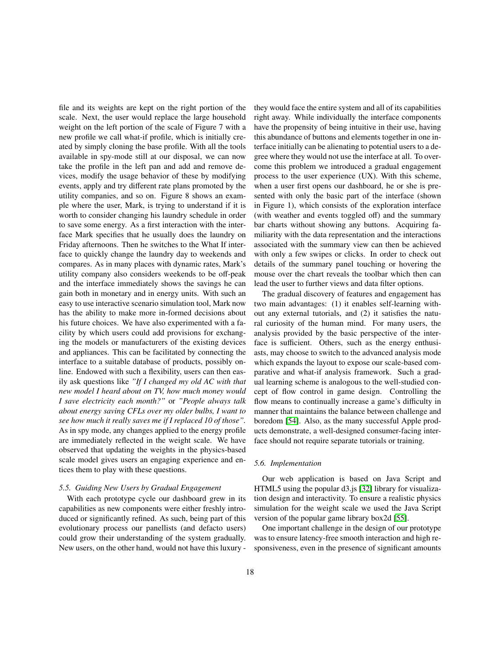file and its weights are kept on the right portion of the scale. Next, the user would replace the large household weight on the left portion of the scale of Figure 7 with a new profile we call what-if profile, which is initially created by simply cloning the base profile. With all the tools available in spy-mode still at our disposal, we can now take the profile in the left pan and add and remove devices, modify the usage behavior of these by modifying events, apply and try different rate plans promoted by the utility companies, and so on. Figure 8 shows an example where the user, Mark, is trying to understand if it is worth to consider changing his laundry schedule in order to save some energy. As a first interaction with the interface Mark specifies that he usually does the laundry on Friday afternoons. Then he switches to the What If interface to quickly change the laundry day to weekends and compares. As in many places with dynamic rates, Mark's utility company also considers weekends to be off-peak and the interface immediately shows the savings he can gain both in monetary and in energy units. With such an easy to use interactive scenario simulation tool, Mark now has the ability to make more in-formed decisions about his future choices. We have also experimented with a facility by which users could add provisions for exchanging the models or manufacturers of the existing devices and appliances. This can be facilitated by connecting the interface to a suitable database of products, possibly online. Endowed with such a flexibility, users can then easily ask questions like "If I changed my old AC with that new model I heard about on TV, how much money would I save electricity each month?" or "People always talk about energy saving CFLs over my older bulbs, I want to see how much it really saves me if I replaced 10 of those". As in spy mode, any changes applied to the energy profile are immediately reflected in the weight scale. We have observed that updating the weights in the physics-based scale model gives users an engaging experience and entices them to play with these questions.

#### 5.5. Guiding New Users by Gradual Engagement

With each prototype cycle our dashboard grew in its capabilities as new components were either freshly introduced or significantly refined. As such, being part of this evolutionary process our panellists (and defacto users) could grow their understanding of the system gradually. New users, on the other hand, would not have this luxury -

they would face the entire system and all of its capabilities right away. While individually the interface components have the propensity of being intuitive in their use, having this abundance of buttons and elements together in one interface initially can be alienating to potential users to a degree where they would not use the interface at all. To overcome this problem we introduced a gradual engagement process to the user experience (UX). With this scheme, when a user first opens our dashboard, he or she is presented with only the basic part of the interface (shown in Figure 1), which consists of the exploration interface (with weather and events toggled off) and the summary bar charts without showing any buttons. Acquiring familiarity with the data representation and the interactions associated with the summary view can then be achieved with only a few swipes or clicks. In order to check out details of the summary panel touching or hovering the mouse over the chart reveals the toolbar which then can lead the user to further views and data filter options.

The gradual discovery of features and engagement has two main advantages: (1) it enables self-learning without any external tutorials, and (2) it satisfies the natural curiosity of the human mind. For many users, the analysis provided by the basic perspective of the interface is sufficient. Others, such as the energy enthusiasts, may choose to switch to the advanced analysis mode which expands the layout to expose our scale-based comparative and what-if analysis framework. Such a gradual learning scheme is analogous to the well-studied concept of flow control in game design. Controlling the flow means to continually increase a game's difficulty in manner that maintains the balance between challenge and boredom [54]. Also, as the many successful Apple products demonstrate, a well-designed consumer-facing interface should not require separate tutorials or training.

## 5.6. Implementation

Our web application is based on Java Script and HTML5 using the popular d3.js [32] library for visualization design and interactivity. To ensure a realistic physics simulation for the weight scale we used the Java Script version of the popular game library box2d [55].

One important challenge in the design of our prototype was to ensure latency-free smooth interaction and high responsiveness, even in the presence of significant amounts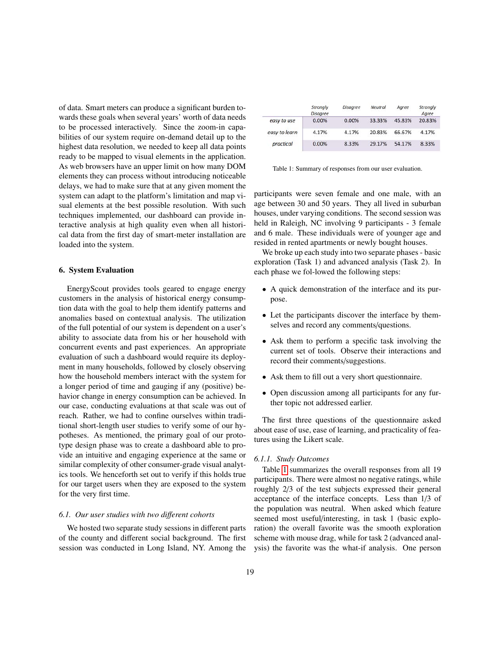of data. Smart meters can produce a significant burden towards these goals when several years' worth of data needs to be processed interactively. Since the zoom-in capabilities of our system require on-demand detail up to the highest data resolution, we needed to keep all data points ready to be mapped to visual elements in the application. As web browsers have an upper limit on how many DOM elements they can process without introducing noticeable delays, we had to make sure that at any given moment the system can adapt to the platform's limitation and map visual elements at the best possible resolution. With such techniques implemented, our dashboard can provide interactive analysis at high quality even when all historical data from the first day of smart-meter installation are loaded into the system.

## 6. System Evaluation

EnergyScout provides tools geared to engage energy customers in the analysis of historical energy consumption data with the goal to help them identify patterns and anomalies based on contextual analysis. The utilization of the full potential of our system is dependent on a user's ability to associate data from his or her household with concurrent events and past experiences. An appropriate evaluation of such a dashboard would require its deployment in many households, followed by closely observing how the household members interact with the system for a longer period of time and gauging if any (positive) behavior change in energy consumption can be achieved. In our case, conducting evaluations at that scale was out of reach. Rather, we had to confine ourselves within traditional short-length user studies to verify some of our hypotheses. As mentioned, the primary goal of our prototype design phase was to create a dashboard able to provide an intuitive and engaging experience at the same or similar complexity of other consumer-grade visual analytics tools. We henceforth set out to verify if this holds true for our target users when they are exposed to the system for the very first time.

### 6.1. Our user studies with two different cohorts

We hosted two separate study sessions in different parts of the county and different social background. The first session was conducted in Long Island, NY. Among the

|               | Strongly<br><b>Disagree</b> | <b>Disagree</b> | Neutral | Aaree  | Strongly<br>Agree |
|---------------|-----------------------------|-----------------|---------|--------|-------------------|
| easy to use   | 0.00%                       | 0.00%           | 33.33%  | 45.83% | 20.83%            |
| easy to learn | 4.17%                       | 4.17%           | 20.83%  | 66.67% | 4.17%             |
| practical     | 0.00%                       | 8.33%           | 29.17%  | 54.17% | 8.33%             |

Table 1: Summary of responses from our user evaluation.

participants were seven female and one male, with an age between 30 and 50 years. They all lived in suburban houses, under varying conditions. The second session was held in Raleigh, NC involving 9 participants - 3 female and 6 male. These individuals were of younger age and resided in rented apartments or newly bought houses.

We broke up each study into two separate phases - basic exploration (Task 1) and advanced analysis (Task 2). In each phase we fol-lowed the following steps:

- A quick demonstration of the interface and its purpose.
- Let the participants discover the interface by themselves and record any comments/questions.
- Ask them to perform a specific task involving the current set of tools. Observe their interactions and record their comments/suggestions.
- Ask them to fill out a very short questionnaire.
- Open discussion among all participants for any further topic not addressed earlier.

The first three questions of the questionnaire asked about ease of use, ease of learning, and practicality of features using the Likert scale.

## 6.1.1. Study Outcomes

Table 1 summarizes the overall responses from all 19 participants. There were almost no negative ratings, while roughly 2/3 of the test subjects expressed their general acceptance of the interface concepts. Less than 1/3 of the population was neutral. When asked which feature seemed most useful/interesting, in task 1 (basic exploration) the overall favorite was the smooth exploration scheme with mouse drag, while for task 2 (advanced analysis) the favorite was the what-if analysis. One person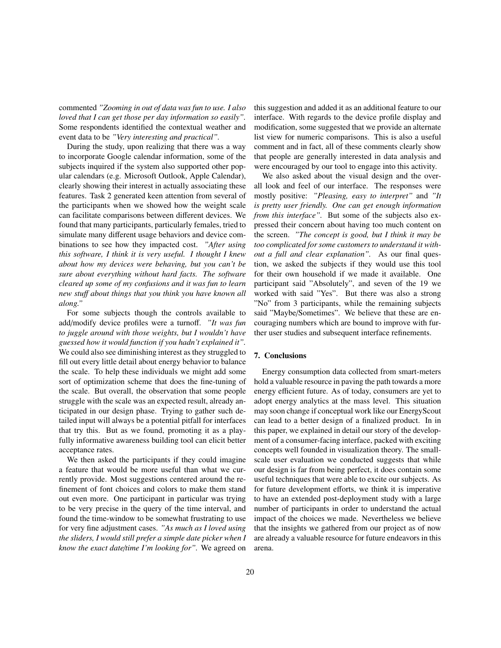commented "Zooming in out of data was fun to use. I also loved that I can get those per day information so easily". Some respondents identified the contextual weather and event data to be "Very interesting and practical".

During the study, upon realizing that there was a way to incorporate Google calendar information, some of the subjects inquired if the system also supported other popular calendars (e.g. Microsoft Outlook, Apple Calendar), clearly showing their interest in actually associating these features. Task 2 generated keen attention from several of the participants when we showed how the weight scale can facilitate comparisons between different devices. We found that many participants, particularly females, tried to simulate many different usage behaviors and device combinations to see how they impacted cost. "After using this software, I think it is very useful. I thought I knew about how my devices were behaving, but you can't be sure about everything without hard facts. The software cleared up some of my confusions and it was fun to learn new stuff about things that you think you have known all along."

For some subjects though the controls available to add/modify device profiles were a turnoff. "It was fun to juggle around with those weights, but I wouldn't have guessed how it would function if you hadn't explained it". We could also see diminishing interest as they struggled to fill out every little detail about energy behavior to balance the scale. To help these individuals we might add some sort of optimization scheme that does the fine-tuning of the scale. But overall, the observation that some people struggle with the scale was an expected result, already anticipated in our design phase. Trying to gather such detailed input will always be a potential pitfall for interfaces that try this. But as we found, promoting it as a playfully informative awareness building tool can elicit better acceptance rates.

We then asked the participants if they could imagine a feature that would be more useful than what we currently provide. Most suggestions centered around the refinement of font choices and colors to make them stand out even more. One participant in particular was trying to be very precise in the query of the time interval, and found the time-window to be somewhat frustrating to use for very fine adjustment cases. "As much as I loved using the sliders, I would still prefer a simple date picker when I know the exact date/time I'm looking for". We agreed on

this suggestion and added it as an additional feature to our interface. With regards to the device profile display and modification, some suggested that we provide an alternate list view for numeric comparisons. This is also a useful comment and in fact, all of these comments clearly show that people are generally interested in data analysis and were encouraged by our tool to engage into this activity.

We also asked about the visual design and the overall look and feel of our interface. The responses were mostly positive: "Pleasing, easy to interpret" and "It is pretty user friendly. One can get enough information from this interface". But some of the subjects also expressed their concern about having too much content on the screen. "The concept is good, but I think it may be too complicated for some customers to understand it without a full and clear explanation". As our final question, we asked the subjects if they would use this tool for their own household if we made it available. One participant said "Absolutely", and seven of the 19 we worked with said "Yes". But there was also a strong "No" from 3 participants, while the remaining subjects said "Maybe/Sometimes". We believe that these are encouraging numbers which are bound to improve with further user studies and subsequent interface refinements.

## 7. Conclusions

Energy consumption data collected from smart-meters hold a valuable resource in paving the path towards a more energy efficient future. As of today, consumers are yet to adopt energy analytics at the mass level. This situation may soon change if conceptual work like our EnergyScout can lead to a better design of a finalized product. In in this paper, we explained in detail our story of the development of a consumer-facing interface, packed with exciting concepts well founded in visualization theory. The smallscale user evaluation we conducted suggests that while our design is far from being perfect, it does contain some useful techniques that were able to excite our subjects. As for future development efforts, we think it is imperative to have an extended post-deployment study with a large number of participants in order to understand the actual impact of the choices we made. Nevertheless we believe that the insights we gathered from our project as of now are already a valuable resource for future endeavors in this arena.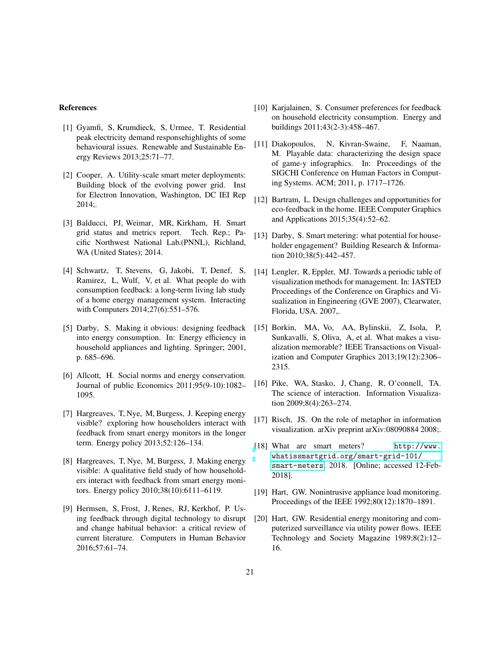## **References**

- [1] Gyamfi, S. Krumdieck, S. Urmee, T. Residential peak electricity demand response highlights of some behavioural issues. Renewable and Sustainable Energy Reviews 2013;25:71-77.
- [2] Cooper, A. Utility-scale smart meter deployments: Building block of the evolving power grid. Inst for Electron Innovation, Washington, DC IEI Rep  $2014;$
- [3] Balducci, PJ, Weimar, MR, Kirkham, H. Smart grid status and metrics report. Tech. Rep.; Pacific Northwest National Lab.(PNNL), Richland, WA (United States); 2014.
- [4] Schwartz, T, Stevens, G, Jakobi, T, Denef, S, Ramirez, L, Wulf, V, et al. What people do with consumption feedback: a long-term living lab study of a home energy management system. Interacting with Computers 2014;27(6):551-576.
- [5] Darby, S. Making it obvious: designing feedback into energy consumption. In: Energy efficiency in household appliances and lighting. Springer; 2001, p.  $685 - 696$ .
- [6] Allcott, H. Social norms and energy conservation. Journal of public Economics 2011;95(9-10):1082-1095.
- [7] Hargreaves, T, Nye, M, Burgess, J. Keeping energy visible? exploring how householders interact with feedback from smart energy monitors in the longer term. Energy policy 2013;52:126-134.
- [8] Hargreaves, T, Nye, M, Burgess, J. Making energy visible: A qualitative field study of how householders interact with feedback from smart energy monitors. Energy policy 2010;38(10):6111-6119.
- [9] Hermsen, S, Frost, J, Renes, RJ, Kerkhof, P. Using feedback through digital technology to disrupt and change habitual behavior: a critical review of current literature. Computers in Human Behavior 2016;57:61-74.
- [10] Karjalainen, S. Consumer preferences for feedback on household electricity consumption. Energy and buildings 2011;43(2-3):458-467.
- [11] Diakopoulos, N, Kivran-Swaine, F, Naaman, M. Playable data: characterizing the design space of game-y infographics. In: Proceedings of the SIGCHI Conference on Human Factors in Computing Systems. ACM; 2011, p. 1717–1726.
- [12] Bartram, L. Design challenges and opportunities for eco-feedback in the home. IEEE Computer Graphics and Applications 2015;35(4):52-62.
- [13] Darby, S. Smart metering: what potential for householder engagement? Building Research & Information 2010;38(5):442-457.
- [14] Lengler, R, Eppler, MJ. Towards a periodic table of visualization methods for management. In: IASTED Proceedings of the Conference on Graphics and Visualization in Engineering (GVE 2007), Clearwater, Florida, USA. 2007,.
- [15] Borkin, MA, Vo, AA, Bylinskii, Z, Isola, P, Sunkavalli, S, Oliva, A, et al. What makes a visualization memorable? IEEE Transactions on Visualization and Computer Graphics 2013;19(12):2306– 2315.
- [16] Pike, WA, Stasko, J, Chang, R, O'connell, TA. The science of interaction. Information Visualization 2009;8(4):263-274.
- [17] Risch, JS. On the role of metaphor in information visualization. arXiv preprint arXiv:08090884 2008;.
- [18] What are smart meters? http://www. whatissmartgrid.org/smart-grid-101/ smart-meters; 2018. [Online; accessed 12-Feb-2018].
- [19] Hart, GW. Nonintrusive appliance load monitoring. Proceedings of the IEEE 1992;80(12):1870-1891.
- [20] Hart, GW. Residential energy monitoring and computerized surveillance via utility power flows. IEEE Technology and Society Magazine 1989;8(2):12-16.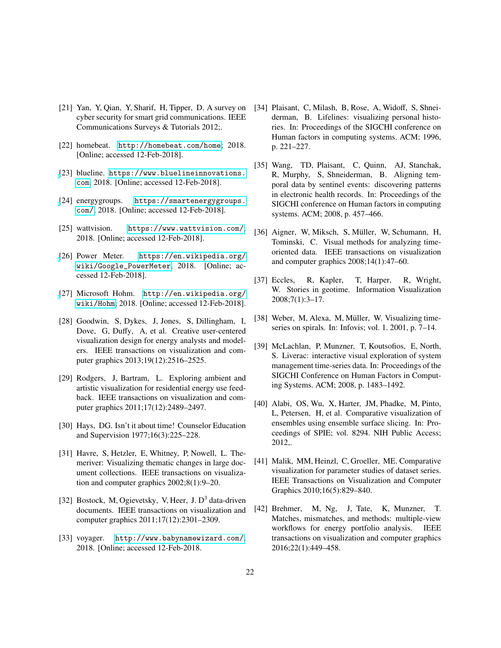- [21] Yan, Y, Qian, Y, Sharif, H, Tipper, D. A survey on cyber security for smart grid communications. IEEE Communications Surveys & Tutorials 2012;.
- [22] homebeat. http://homebeat.com/home; 2018. [Online; accessed 12-Feb-2018].
- [23] blueline. https://www.bluelineinnovations. com; 2018. [Online; accessed 12-Feb-2018].
- [24] energy groups. https://smartenergygroups. com/; 2018. [Online; accessed 12-Feb-2018].
- [25] wattvision. https://www.wattvision.com/; 2018. [Online; accessed 12-Feb-2018].
- [26] Power Meter. https://en.wikipedia.org/ wiki/Google\_PowerMeter; 2018. [Online; accessed 12-Feb-2018].
- [27] Microsoft Hohm. http://en.wikipedia.org/ wiki/Hohm; 2018. [Online; accessed 12-Feb-2018].
- [28] Goodwin, S, Dykes, J, Jones, S, Dillingham, I, Dove, G, Duffy, A, et al. Creative user-centered visualization design for energy analysts and modelers. IEEE transactions on visualization and computer graphics 2013;19(12):2516-2525.
- [29] Rodgers, J, Bartram, L. Exploring ambient and artistic visualization for residential energy use feedback. IEEE transactions on visualization and computer graphics 2011;17(12):2489–2497.
- [30] Hays, DG. Isn't it about time! Counselor Education and Supervision 1977;16(3):225-228.
- [31] Havre, S, Hetzler, E, Whitney, P, Nowell, L. Themeriver: Visualizing thematic changes in large document collections. IEEE transactions on visualization and computer graphics  $2002;8(1):9-20$ .
- [32] Bostock, M, Ogievetsky, V, Heer, J.  $D<sup>3</sup>$  data-driven documents. IEEE transactions on visualization and computer graphics 2011;17(12):2301-2309.
- http://www.babynamewizard.com/; [33] voyager. 2018. [Online; accessed 12-Feb-2018.
- [34] Plaisant, C, Milash, B, Rose, A, Widoff, S, Shneiderman, B. Lifelines: visualizing personal histories. In: Proceedings of the SIGCHI conference on Human factors in computing systems. ACM; 1996, p. 221-227.
- [35] Wang, TD, Plaisant, C, Quinn, AJ, Stanchak, R, Murphy, S, Shneiderman, B. Aligning temporal data by sentinel events: discovering patterns in electronic health records. In: Proceedings of the SIGCHI conference on Human factors in computing systems. ACM; 2008, p. 457-466.
- [36] Aigner, W. Miksch, S. Müller, W. Schumann, H. Tominski, C. Visual methods for analyzing timeoriented data. IEEE transactions on visualization and computer graphics  $2008;14(1):47-60$ .
- R, Wright,  $[37]$  Eccles, R, Kapler, T, Harper, W. Stories in geotime. Information Visualization  $2008;7(1):3-17.$
- [38] Weber, M, Alexa, M, Müller, W. Visualizing timeseries on spirals. In: Infovis; vol. 1. 2001, p.  $7-14$ .
- [39] McLachlan, P, Munzner, T, Koutsofios, E, North, S. Liverac: interactive visual exploration of system management time-series data. In: Proceedings of the SIGCHI Conference on Human Factors in Computing Systems. ACM; 2008, p. 1483-1492.
- [40] Alabi, OS, Wu, X, Harter, JM, Phadke, M, Pinto, L, Petersen, H, et al. Comparative visualization of ensembles using ensemble surface slicing. In: Proceedings of SPIE; vol. 8294. NIH Public Access; 2012,.
- [41] Malik, MM, Heinzl, C, Groeller, ME. Comparative visualization for parameter studies of dataset series. IEEE Transactions on Visualization and Computer Graphics 2010;16(5):829-840.
- [42] Brehmer, M, Ng, J, Tate, K, Munzner, T. Matches, mismatches, and methods: multiple-view workflows for energy portfolio analysis. **IEEE** transactions on visualization and computer graphics 2016;22(1):449-458.